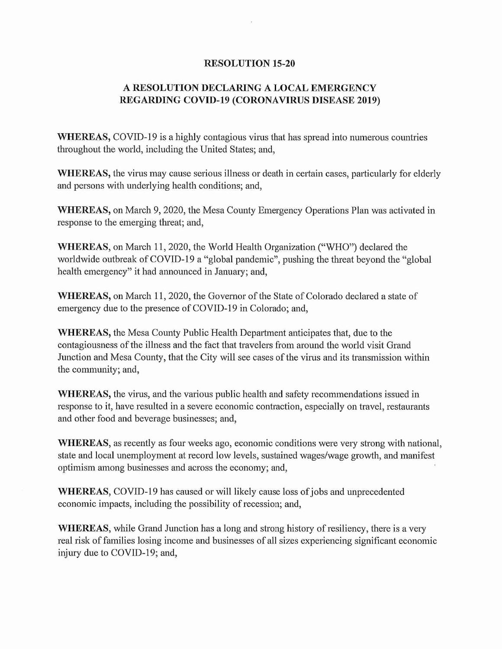## RESOLUTION 15-20

## A RESOLUTION DECLAMNG A LOCAL EMERGENCY REGARDING COVID-19 (CORONAVIRUS DISEASE 2019)

WHEREAS, COVID-19 is a highly contagious virus that has spread into numerous countries throughout the world, including the United States; and,

WHEREAS, the virus may cause serious illness or death in certain cases, particularly for elderly and persons with underlying health conditions; and,

WHEREAS, on March 9, 2020, the Mesa County Emergency Operations Plan was activated in response to the emerging threat; and,

WHEREAS, on March 11, 2020, the World Health Organization ("WHO") declared the worldwide outbreak of COVID-19 a "global pandemic", pushing the threat beyond the "global health emergency" it had announced in January; and,

WHEREAS, on March 11, 2020, the Governor of the State of Colorado declared a state of emergency due to the presence of COVID-19 in Colorado; and,

WHEREAS, the Mesa County Public Health Department anticipates that, due to the contagiousness of the illness and the fact that travelers from around the world visit Grand Junction and Mesa County, that the City will see cases of the virus and its transmission within the community; and,

WHEREAS, the virus, and the various public health and safety recommendations issued in response to it, have resulted in a severe economic contraction, especially on travel, restaurants and other food and beverage businesses; and,

WHEREAS, as recently as four weeks ago, economic conditions were very strong with national, state and local unemployment at record low levels, sustained wages/wage growth, and manifest optimism among businesses and across the economy; and,

WHEREAS, COVID-19 has caused or will likely cause loss of jobs and unprecedented economic impacts, including the possibility of recession; and,

WHEREAS, while Grand Junction has a long and strong history of resiliency, there is a very real risk of families losing income and businesses of all sizes experiencing significant economic injury due to COVID-19; and,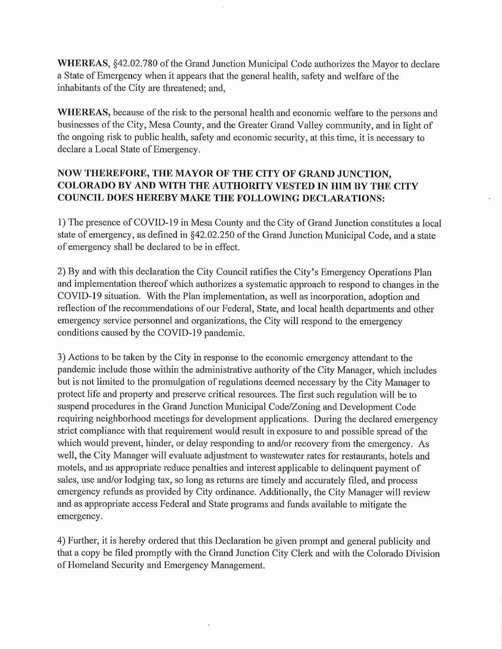WHEREAS, §42.02.780 of the Grand Junction Municipal Code authorizes the Mayor to declare a State of Emergency when it appears that the general health, safety and welfare of the inhabitants of the City are threatened; and,

WHEREAS, because of the risk to the personal health and economic welfare to the persons and businesses of the City, Mesa County, and the Greater Grand Valley community, and in light of the ongoing risk to public health, safety and economic security, at this time, it is necessary to declare a Local State of Emergency.

## NOW THEREFORE, THE MAYOR OF THE CITY OF GRAND JUNCTION, COLORADO BY AND WITH THE AUTHORITY VESTED IN HIM BY THE CITY COUNCIL DOES HEREBY MAKE THE FOLLOWING DECLARATIONS:

1) The presence of COVID-19 in Mesa County and the City of Grand Junction constitutes a local state of emergency, as defined in §42.02.250 of the Grand Junction Municipal Code, and a state of emergency shall be declared to be in effect.

2) By and with this declaration the City Council ratifies the City's Emergency Operations Plan and implementation thereof which authorizes a systematic approach to respond to changes in the COVID-19 situation. With the Plan implementation, as well as incorporation, adoption and reflection of the recommendations of our Federal, State, and local health departments and other emergency service personnel and organizations, the City will respond to the emergency conditions caused by the COVID-19 pandemic.

3) Actions to be taken by the City in response to the economic emergency attendant to the pandemic include those within the administrative authority of the City Manager, which includes but is not limited to the promulgation of regulations deemed necessary by the City Manager to protect life and property and preserve critical resources. The first such regulation will be to suspend procedures in the Grand Junction Municipal Code/Zoning and Development Code requiring neighborhood meetings for development applications. During the declared emergency strict compliance with that requirement would result in exposure to and possible spread of the which would prevent, hinder, or delay responding to and/or recovery from the emergency. As well, the City Manager will evaluate adjustment to wastewater rates for restaurants, hotels and motels, and as appropriate reduce penalties and interest applicable to delinquent payment of sales, use and/or lodging tax, so long as returns are timely and accurately filed, and process emergency refunds as provided by City ordinance. Additionally, the City Manager will review and as appropriate access Federal and State programs and funds available to mitigate the emergency.

4) Further, it is hereby ordered that this Declaration be given prompt and general publicity and that a copy be filed promptly with the Grand Junction City Clerk and with the Colorado Division of Homeland Security and Emergency Management.